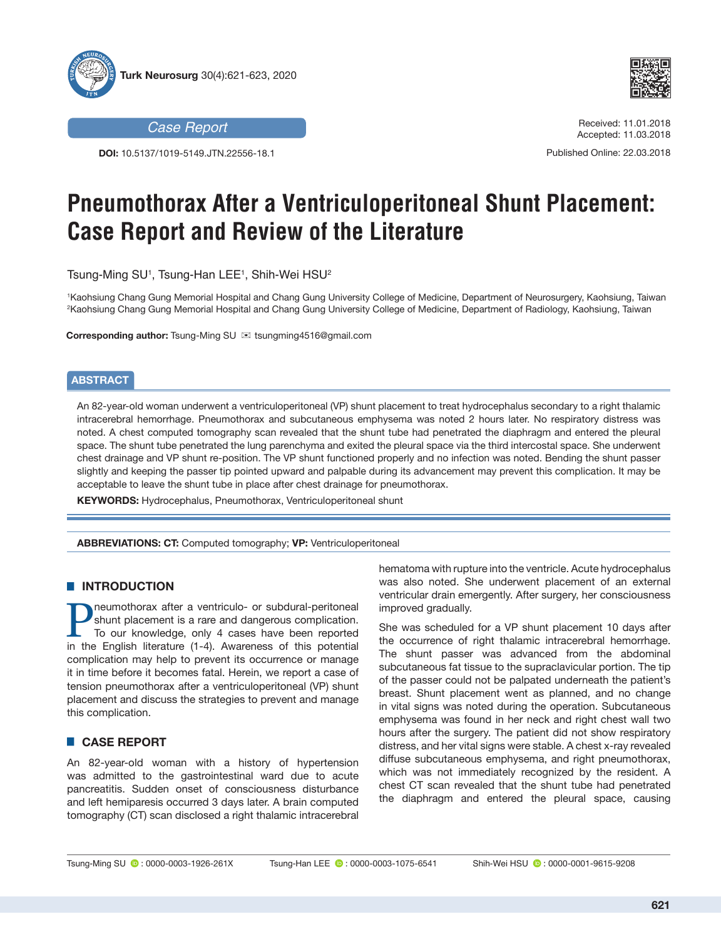



**DOI:** 10.5137/1019-5149.JTN.22556-18.1



*Case Report* Received: 11.01.2018 Accepted: 11.03.2018

Published Online: 22.03.2018

# **Pneumothorax After a Ventriculoperitoneal Shunt Placement: Case Report and Review of the Literature**

Tsung-Ming SU1 , Tsung-Han LEE1 , Shih-Wei HSU2

1 Kaohsiung Chang Gung Memorial Hospital and Chang Gung University College of Medicine, Department of Neurosurgery, Kaohsiung, Taiwan 2 Kaohsiung Chang Gung Memorial Hospital and Chang Gung University College of Medicine, Department of Radiology, Kaohsiung, Taiwan

**Corresponding author:** Tsung-Ming SU ⊠ tsungming4516@gmail.com

#### **ABSTRACT**

An 82-year-old woman underwent a ventriculoperitoneal (VP) shunt placement to treat hydrocephalus secondary to a right thalamic intracerebral hemorrhage. Pneumothorax and subcutaneous emphysema was noted 2 hours later. No respiratory distress was noted. A chest computed tomography scan revealed that the shunt tube had penetrated the diaphragm and entered the pleural space. The shunt tube penetrated the lung parenchyma and exited the pleural space via the third intercostal space. She underwent chest drainage and VP shunt re-position. The VP shunt functioned properly and no infection was noted. Bending the shunt passer slightly and keeping the passer tip pointed upward and palpable during its advancement may prevent this complication. It may be acceptable to leave the shunt tube in place after chest drainage for pneumothorax.

**KEYWORDS:** Hydrocephalus, Pneumothorax, Ventriculoperitoneal shunt

**ABBREVIATIONS: CT:** Computed tomography; **VP:** Ventriculoperitoneal

## **E INTRODUCTION**

neumothorax after a ventriculo- or subdural-peritoneal shunt placement is a rare and dangerous complication. To our knowledge, only 4 cases have been reported in the English literature (1-4). Awareness of this potential complication may help to prevent its occurrence or manage it in time before it becomes fatal. Herein, we report a case of tension pneumothorax after a ventriculoperitoneal (VP) shunt placement and discuss the strategies to prevent and manage this complication.

## █ **CASE REPORT**

An 82-year-old woman with a history of hypertension was admitted to the gastrointestinal ward due to acute pancreatitis. Sudden onset of consciousness disturbance and left hemiparesis occurred 3 days later. A brain computed tomography (CT) scan disclosed a right thalamic intracerebral hematoma with rupture into the ventricle. Acute hydrocephalus was also noted. She underwent placement of an external ventricular drain emergently. After surgery, her consciousness improved gradually.

She was scheduled for a VP shunt placement 10 days after the occurrence of right thalamic intracerebral hemorrhage. The shunt passer was advanced from the abdominal subcutaneous fat tissue to the supraclavicular portion. The tip of the passer could not be palpated underneath the patient's breast. Shunt placement went as planned, and no change in vital signs was noted during the operation. Subcutaneous emphysema was found in her neck and right chest wall two hours after the surgery. The patient did not show respiratory distress, and her vital signs were stable. A chest x-ray revealed diffuse subcutaneous emphysema, and right pneumothorax, which was not immediately recognized by the resident. A chest CT scan revealed that the shunt tube had penetrated the diaphragm and entered the pleural space, causing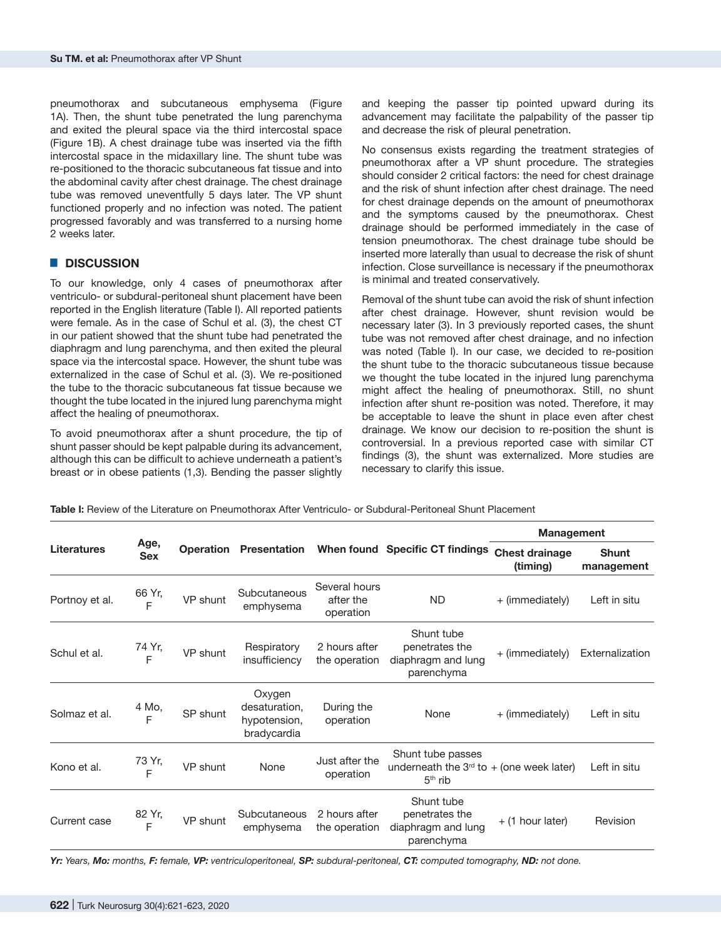pneumothorax and subcutaneous emphysema (Figure 1A). Then, the shunt tube penetrated the lung parenchyma and exited the pleural space via the third intercostal space (Figure 1B). A chest drainage tube was inserted via the fifth intercostal space in the midaxillary line. The shunt tube was re-positioned to the thoracic subcutaneous fat tissue and into the abdominal cavity after chest drainage. The chest drainage tube was removed uneventfully 5 days later. The VP shunt functioned properly and no infection was noted. The patient progressed favorably and was transferred to a nursing home 2 weeks later.

#### █ **DISCUSSION**

To our knowledge, only 4 cases of pneumothorax after ventriculo- or subdural-peritoneal shunt placement have been reported in the English literature (Table I). All reported patients were female. As in the case of Schul et al. (3), the chest CT in our patient showed that the shunt tube had penetrated the diaphragm and lung parenchyma, and then exited the pleural space via the intercostal space. However, the shunt tube was externalized in the case of Schul et al. (3). We re-positioned the tube to the thoracic subcutaneous fat tissue because we thought the tube located in the injured lung parenchyma might affect the healing of pneumothorax.

To avoid pneumothorax after a shunt procedure, the tip of shunt passer should be kept palpable during its advancement, although this can be difficult to achieve underneath a patient's breast or in obese patients (1,3). Bending the passer slightly

and keeping the passer tip pointed upward during its advancement may facilitate the palpability of the passer tip and decrease the risk of pleural penetration.

No consensus exists regarding the treatment strategies of pneumothorax after a VP shunt procedure. The strategies should consider 2 critical factors: the need for chest drainage and the risk of shunt infection after chest drainage. The need for chest drainage depends on the amount of pneumothorax and the symptoms caused by the pneumothorax. Chest drainage should be performed immediately in the case of tension pneumothorax. The chest drainage tube should be inserted more laterally than usual to decrease the risk of shunt infection. Close surveillance is necessary if the pneumothorax is minimal and treated conservatively.

Removal of the shunt tube can avoid the risk of shunt infection after chest drainage. However, shunt revision would be necessary later (3). In 3 previously reported cases, the shunt tube was not removed after chest drainage, and no infection was noted (Table I). In our case, we decided to re-position the shunt tube to the thoracic subcutaneous tissue because we thought the tube located in the injured lung parenchyma might affect the healing of pneumothorax. Still, no shunt infection after shunt re-position was noted. Therefore, it may be acceptable to leave the shunt in place even after chest drainage. We know our decision to re-position the shunt is controversial. In a previous reported case with similar CT findings (3), the shunt was externalized. More studies are necessary to clarify this issue.

**Table I:** Review of the Literature on Pneumothorax After Ventriculo- or Subdural-Peritoneal Shunt Placement

| <b>Literatures</b> | Age,<br><b>Sex</b> |          | <b>Operation Presentation</b>                          |                                         | When found Specific CT findings                                              | <b>Management</b>                 |                            |
|--------------------|--------------------|----------|--------------------------------------------------------|-----------------------------------------|------------------------------------------------------------------------------|-----------------------------------|----------------------------|
|                    |                    |          |                                                        |                                         |                                                                              | <b>Chest drainage</b><br>(timing) | <b>Shunt</b><br>management |
| Portnoy et al.     | 66 Yr,<br>F        | VP shunt | Subcutaneous<br>emphysema                              | Several hours<br>after the<br>operation | ND.                                                                          | + (immediately)                   | Left in situ               |
| Schul et al.       | 74 Yr,<br>E        | VP shunt | Respiratory<br>insufficiency                           | 2 hours after<br>the operation          | Shunt tube<br>penetrates the<br>diaphragm and lung<br>parenchyma             | + (immediately)                   | Externalization            |
| Solmaz et al.      | 4 Mo,<br>F         | SP shunt | Oxygen<br>desaturation,<br>hypotension,<br>bradycardia | During the<br>operation                 | None                                                                         | + (immediately)                   | Left in situ               |
| Kono et al.        | 73 Yr,<br>F        | VP shunt | None                                                   | Just after the<br>operation             | Shunt tube passes<br>underneath the $3rd$ to + (one week later)<br>$5th$ rib |                                   | Left in situ               |
| Current case       | 82 Yr,<br>F        | VP shunt | Subcutaneous<br>emphysema                              | 2 hours after<br>the operation          | Shunt tube<br>penetrates the<br>diaphragm and lung<br>parenchyma             | + (1 hour later)                  | Revision                   |

*Yr: Years, Mo: months, F: female, VP: ventriculoperitoneal, SP: subdural-peritoneal, CT: computed tomography, ND: not done.*